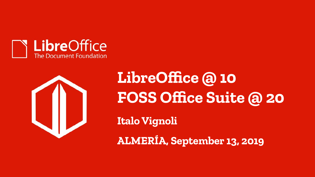



**LibreOffice @ 10 FOSS Office Suite @ 20 Italo Vignoli ALMERÍA, September 13, 2019**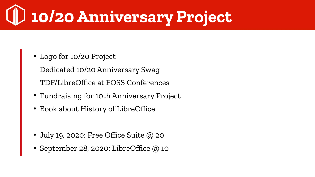### **10/20 Anniversary Project**

• Logo for 10/20 Project

Dedicated 10/20 Anniversary Swag ● TDF/LibreOffice at FOSS Conferences

- Fundraising for 10th Anniversary Project
- Book about History of LibreOffice
- July 19, 2020: Free Office Suite @ 20
- September 28, 2020: LibreOffice @ 10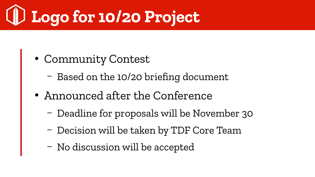## **Logo for 10/20 Project**

- Community Contest
	- Based on the 10/20 briefing document
- Announced after the Conference
	- Deadline for proposals will be November 30
	- Decision will be taken by TDF Core Team
	- No discussion will be accepted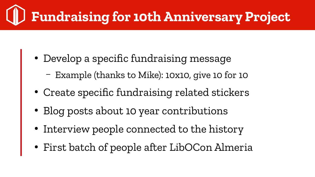### **Fundraising for 10th Anniversary Project**

- Develop a specific fundraising message
	- Example (thanks to Mike): 10x10, give 10 for 10
- Create specific fundraising related stickers
- Blog posts about 10 year contributions
- Interview people connected to the history
- First batch of people after LibOCon Almeria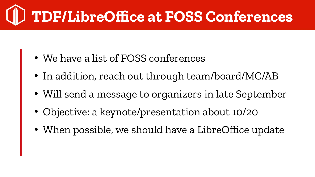#### **TDF/LibreOffice at FOSS Conferences**

- We have a list of FOSS conferences
- In addition, reach out through team/board/MC/AB
- Will send a message to organizers in late September
- Objective: a keynote/presentation about 10/20
- When possible, we should have a LibreOffice update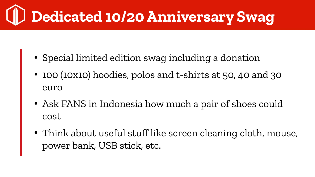### **Dedicated 10/20 Anniversary Swag**

- Special limited edition swag including a donation
- 100 (10x10) hoodies, polos and t-shirts at 50, 40 and 30 euro
- Ask FANS in Indonesia how much a pair of shoes could cost
- Think about useful stuff like screen cleaning cloth, mouse, power bank, USB stick, etc.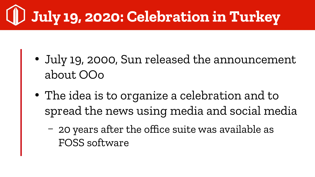## **July 19, 2020: Celebration in Turkey**

- July 19, 2000, Sun released the announcement about OOo
- The idea is to organize a celebration and to spread the news using media and social media
	- 20 years after the office suite was available as FOSS software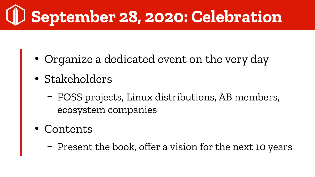# **September 28, 2020: Celebration**

- Organize a dedicated event on the very day
- Stakeholders
	- FOSS projects, Linux distributions, AB members, ecosystem companies
- **Contents** 
	- Present the book, offer a vision for the next 10 years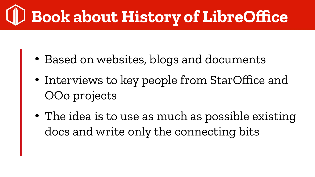### **Book about History of LibreOffice**

- Based on websites, blogs and documents
- Interviews to key people from StarOffice and OOo projects
- The idea is to use as much as possible existing docs and write only the connecting bits